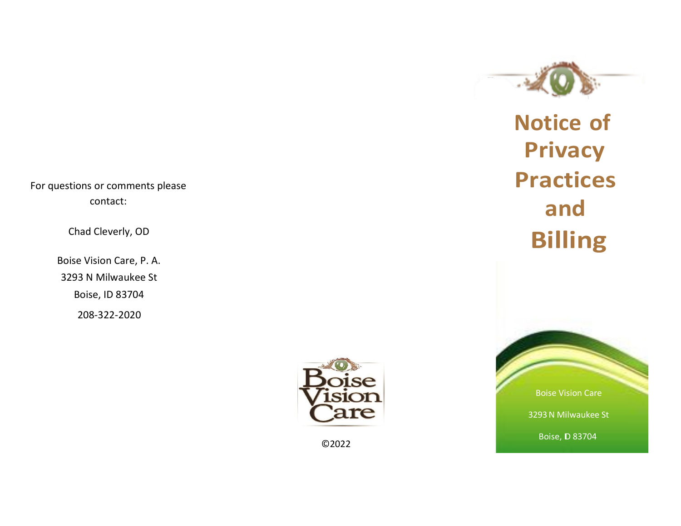For questions or comments please contact:

Chad Cleverly, OD

Boise Vision Care, P. A. 3293 N Milwaukee St Boise, ID 83704 208-322-2020

**Notice of Privacy Practices and Billing**



Boise Vision Care 3293N Milwaukee St Boise, ID 83704

©2022